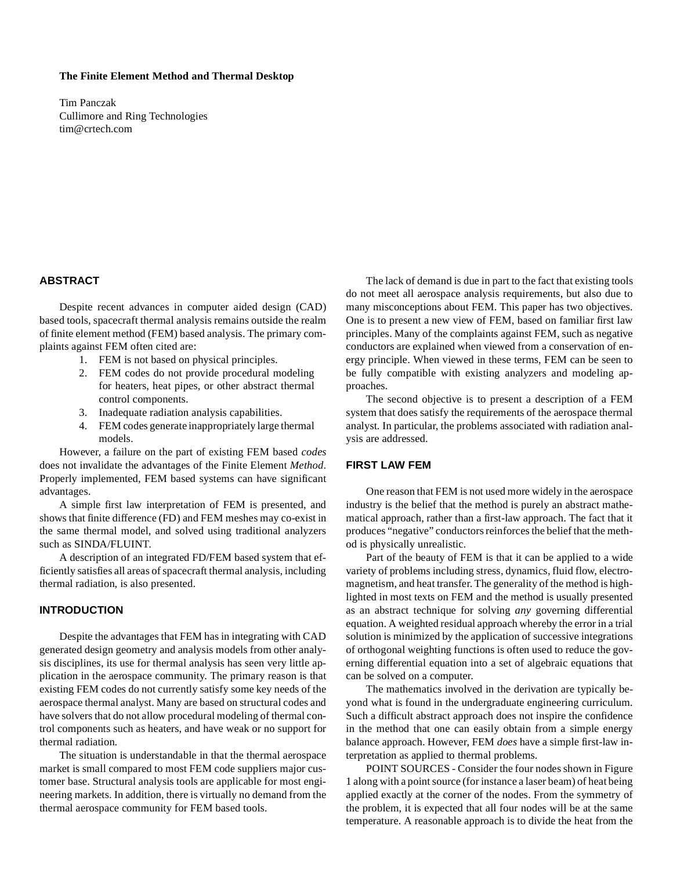#### **The Finite Element Method and Thermal Desktop**

Tim Panczak Cullimore and Ring Technologies tim@crtech.com

# **ABSTRACT**

Despite recent advances in computer aided design (CAD) based tools, spacecraft thermal analysis remains outside the realm of finite element method (FEM) based analysis. The primary complaints against FEM often cited are:

- 1. FEM is not based on physical principles.
- 2. FEM codes do not provide procedural modeling for heaters, heat pipes, or other abstract thermal control components.
- 3. Inadequate radiation analysis capabilities.
- 4. FEM codes generate inappropriately large thermal models.

However, a failure on the part of existing FEM based *codes* does not invalidate the advantages of the Finite Element *Method*. Properly implemented, FEM based systems can have significant advantages.

A simple first law interpretation of FEM is presented, and shows that finite difference (FD) and FEM meshes may co-exist in the same thermal model, and solved using traditional analyzers such as SINDA/FLUINT.

A description of an integrated FD/FEM based system that efficiently satisfies all areas of spacecraft thermal analysis, including thermal radiation, is also presented.

# **INTRODUCTION**

Despite the advantages that FEM has in integrating with CAD generated design geometry and analysis models from other analysis disciplines, its use for thermal analysis has seen very little application in the aerospace community. The primary reason is that existing FEM codes do not currently satisfy some key needs of the aerospace thermal analyst. Many are based on structural codes and have solvers that do not allow procedural modeling of thermal control components such as heaters, and have weak or no support for thermal radiation.

The situation is understandable in that the thermal aerospace market is small compared to most FEM code suppliers major customer base. Structural analysis tools are applicable for most engineering markets. In addition, there is virtually no demand from the thermal aerospace community for FEM based tools.

The lack of demand is due in part to the fact that existing tools do not meet all aerospace analysis requirements, but also due to many misconceptions about FEM. This paper has two objectives. One is to present a new view of FEM, based on familiar first law principles. Many of the complaints against FEM, such as negative conductors are explained when viewed from a conservation of energy principle. When viewed in these terms, FEM can be seen to be fully compatible with existing analyzers and modeling approaches.

The second objective is to present a description of a FEM system that does satisfy the requirements of the aerospace thermal analyst. In particular, the problems associated with radiation analysis are addressed.

### **FIRST LAW FEM**

One reason that FEM is not used more widely in the aerospace industry is the belief that the method is purely an abstract mathematical approach, rather than a first-law approach. The fact that it produces "negative" conductors reinforces the belief that the method is physically unrealistic.

Part of the beauty of FEM is that it can be applied to a wide variety of problems including stress, dynamics, fluid flow, electromagnetism, and heat transfer. The generality of the method is highlighted in most texts on FEM and the method is usually presented as an abstract technique for solving *any* governing differential equation. A weighted residual approach whereby the error in a trial solution is minimized by the application of successive integrations of orthogonal weighting functions is often used to reduce the governing differential equation into a set of algebraic equations that can be solved on a computer.

The mathematics involved in the derivation are typically beyond what is found in the undergraduate engineering curriculum. Such a difficult abstract approach does not inspire the confidence in the method that one can easily obtain from a simple energy balance approach. However, FEM *does* have a simple first-law interpretation as applied to thermal problems.

POINT SOURCES - Consider the four nodes shown in [Figure](#page-1-0) [1](#page-1-0) along with a point source (for instance a laser beam) of heat being applied exactly at the corner of the nodes. From the symmetry of the problem, it is expected that all four nodes will be at the same temperature. A reasonable approach is to divide the heat from the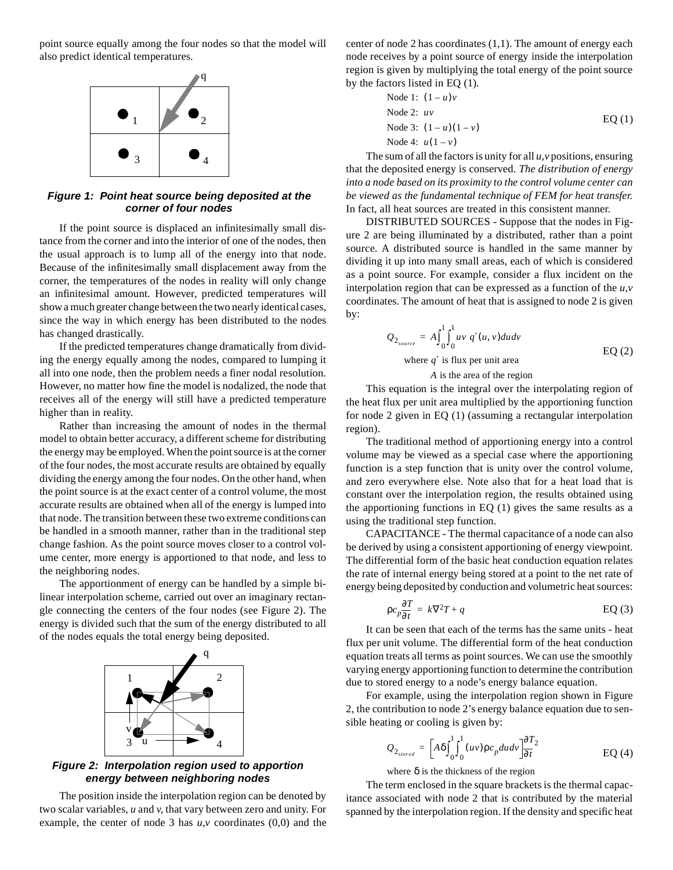point source equally among the four nodes so that the model will also predict identical temperatures.



<span id="page-1-0"></span>**Figure 1: Point heat source being deposited at the corner of four nodes**

If the point source is displaced an infinitesimally small distance from the corner and into the interior of one of the nodes, then the usual approach is to lump all of the energy into that node. Because of the infinitesimally small displacement away from the corner, the temperatures of the nodes in reality will only change an infinitesimal amount. However, predicted temperatures will show a much greater change between the two nearly identical cases, since the way in which energy has been distributed to the nodes has changed drastically.

If the predicted temperatures change dramatically from dividing the energy equally among the nodes, compared to lumping it all into one node, then the problem needs a finer nodal resolution. However, no matter how fine the model is nodalized, the node that receives all of the energy will still have a predicted temperature higher than in reality.

Rather than increasing the amount of nodes in the thermal model to obtain better accuracy, a different scheme for distributing the energy may be employed. When the point source is at the corner of the four nodes, the most accurate results are obtained by equally dividing the energy among the four nodes. On the other hand, when the point source is at the exact center of a control volume, the most accurate results are obtained when all of the energy is lumped into that node. The transition between these two extreme conditions can be handled in a smooth manner, rather than in the traditional step change fashion. As the point source moves closer to a control volume center, more energy is apportioned to that node, and less to the neighboring nodes.

The apportionment of energy can be handled by a simple bilinear interpolation scheme, carried out over an imaginary rectangle connecting the centers of the four nodes (see [Figure 2](#page-1-1)). The energy is divided such that the sum of the energy distributed to all of the nodes equals the total energy being deposited.



<span id="page-1-1"></span>**Figure 2: Interpolation region used to apportion energy between neighboring nodes**

The position inside the interpolation region can be denoted by two scalar variables, *u* and *v*, that vary between zero and unity. For example, the center of node 3 has  $u, v$  coordinates  $(0,0)$  and the <span id="page-1-2"></span>center of node 2 has coordinates (1,1). The amount of energy each node receives by a point source of energy inside the interpolation region is given by multiplying the total energy of the point source by the factors listed in [EQ \(1\)](#page-1-2).

Node 1: 
$$
(1 - u)v
$$

\nNode 2:  $uv$ 

\nNode 3:  $(1 - u)(1 - v)$ 

\nNode 4:  $u(1 - v)$ 

The sum of all the factors is unity for all *u,v* positions, ensuring that the deposited energy is conserved. *The distribution of energy into a node based on its proximity to the control volume center can be viewed as the fundamental technique of FEM for heat transfer.* In fact, all heat sources are treated in this consistent manner.

DISTRIBUTED SOURCES - Suppose that the nodes in [Fig](#page-1-1)[ure 2](#page-1-1) are being illuminated by a distributed, rather than a point source. A distributed source is handled in the same manner by dividing it up into many small areas, each of which is considered as a point source. For example, consider a flux incident on the interpolation region that can be expressed as a function of the *u,v* coordinates. The amount of heat that is assigned to node 2 is given by:

<span id="page-1-3"></span>
$$
Q_{2_{source}} = A \int_0^1 \int_0^1 uv \, q'(u, v) du dv
$$
  
where  $q'$  is flux per unit area  
EQ (2)

*A* is the area of the region

This equation is the integral over the interpolating region of the heat flux per unit area multiplied by the apportioning function for node 2 given in [EQ \(1\)](#page-1-2) (assuming a rectangular interpolation region).

The traditional method of apportioning energy into a control volume may be viewed as a special case where the apportioning function is a step function that is unity over the control volume, and zero everywhere else. Note also that for a heat load that is constant over the interpolation region, the results obtained using the apportioning functions in [EQ \(1\)](#page-1-2) gives the same results as a using the traditional step function.

CAPACITANCE - The thermal capacitance of a node can also be derived by using a consistent apportioning of energy viewpoint. The differential form of the basic heat conduction equation relates the rate of internal energy being stored at a point to the net rate of energy being deposited by conduction and volumetric heat sources:

$$
\rho c_p \frac{\partial T}{\partial t} = k \nabla^2 T + q \qquad \qquad \text{EQ (3)}
$$

It can be seen that each of the terms has the same units - heat flux per unit volume. The differential form of the heat conduction equation treats all terms as point sources. We can use the smoothly varying energy apportioning function to determine the contribution due to stored energy to a node's energy balance equation.

<span id="page-1-4"></span>For example, using the interpolation region shown in [Figure](#page-1-1) [2,](#page-1-1) the contribution to node 2's energy balance equation due to sensible heating or cooling is given by:

$$
Q_{2_{sorted}} = \left[A\delta\int_0^1 \int_0^1 (uv)\rho c_p du dv\right] \frac{\partial T_2}{\partial t}
$$
  
where  $\delta$  is the thickness of the region

The term enclosed in the square brackets is the thermal capacitance associated with node 2 that is contributed by the material spanned by the interpolation region. If the density and specific heat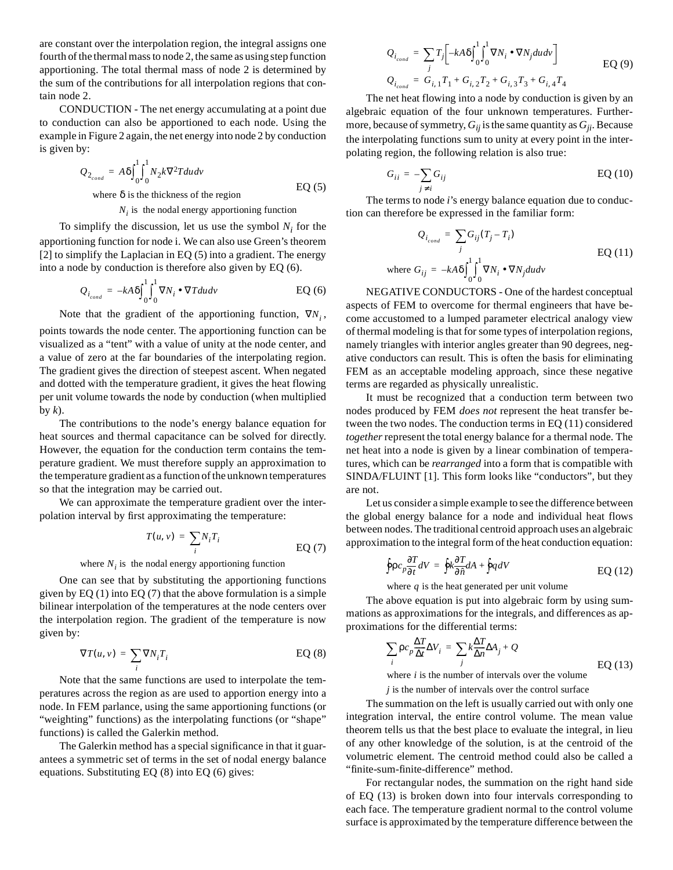are constant over the interpolation region, the integral assigns one fourth of the thermal mass to node 2, the same as using step function apportioning. The total thermal mass of node 2 is determined by the sum of the contributions for all interpolation regions that contain node 2.

<span id="page-2-0"></span>CONDUCTION - The net energy accumulating at a point due to conduction can also be apportioned to each node. Using the example in [Figure 2](#page-1-1) again, the net energy into node 2 by conduction is given by:

$$
Q_{2_{cond}} = A\delta \int_0^1 \int_0^1 N_2 k \nabla^2 T du dv
$$
  
where  $\delta$  is the thickness of the region  $EQ(5)$ 

 $N_i$  is the nodal energy apportioning function

To simplify the discussion, let us use the symbol  $N_i$  for the apportioning function for node i. We can also use Green's theorem [\[2\]](#page-8-0) to simplify the Laplacian in EQ  $(5)$  into a gradient. The energy into a node by conduction is therefore also given by [EQ \(6\).](#page-2-3)

<span id="page-2-3"></span>
$$
Q_{i_{cond}} = -kA\delta \int_0^1 \int_0^1 \nabla N_i \cdot \nabla T du dv
$$
 EQ (6)  
Note that the gradient of the apportioning function,  $\nabla N_i$ ,

∇*Ni*

points towards the node center. The apportioning function can be visualized as a "tent" with a value of unity at the node center, and a value of zero at the far boundaries of the interpolating region. The gradient gives the direction of steepest ascent. When negated and dotted with the temperature gradient, it gives the heat flowing per unit volume towards the node by conduction (when multiplied by  $k$ ).

The contributions to the node's energy balance equation for heat sources and thermal capacitance can be solved for directly. However, the equation for the conduction term contains the temperature gradient. We must therefore supply an approximation to the temperature gradient as a function of the unknown temperatures so that the integration may be carried out.

<span id="page-2-1"></span>We can approximate the temperature gradient over the interpolation interval by first approximating the temperature:

$$
T(u, v) = \sum_{i} N_i T_i
$$
EQ(7)

where  $N_i$  is the nodal energy apportioning function

One can see that by substituting the apportioning functions given by EQ  $(1)$  into EQ  $(7)$  that the above formulation is a simple bilinear interpolation of the temperatures at the node centers over the interpolation region. The gradient of the temperature is now given by:

<span id="page-2-2"></span>
$$
\nabla T(u, v) = \sum_{i} \nabla N_i T_i
$$
 EQ (8)

Note that the same functions are used to interpolate the temperatures across the region as are used to apportion energy into a node. In FEM parlance, using the same apportioning functions (or "weighting" functions) as the interpolating functions (or "shape" functions) is called the Galerkin method.

The Galerkin method has a special significance in that it guarantees a symmetric set of terms in the set of nodal energy balance equations. Substituting [EQ \(8\)](#page-2-2) into [EQ \(6\)](#page-2-3) gives:

$$
Q_{i_{cond}} = \sum_{j} T_{j} \left[ -k A \delta \int_{0}^{1} \int_{0}^{1} \nabla N_{i} \cdot \nabla N_{j} du dv \right]
$$
  
\n
$$
Q_{i_{cond}} = G_{i,1} T_{1} + G_{i,2} T_{2} + G_{i,3} T_{3} + G_{i,4} T_{4}
$$
  
\nEQ (9)

The net heat flowing into a node by conduction is given by an algebraic equation of the four unknown temperatures. Furthermore, because of symmetry,  $G_{ij}$  is the same quantity as  $G_{ji}$ . Because the interpolating functions sum to unity at every point in the interpolating region, the following relation is also true:

$$
G_{ii} = -\sum_{j \neq i} G_{ij} \qquad \qquad \text{EQ (10)}
$$

<span id="page-2-4"></span>The terms to node *i*'s energy balance equation due to conduction can therefore be expressed in the familiar form:

$$
Q_{i_{cond}} = \sum_{j} G_{ij} (T_j - T_i)
$$
  
Eq (11)  
where  $G_{ij} = -kA\delta \int_{0}^{1} \int_{0}^{1} \nabla N_i \cdot \nabla N_j du dv$   
NEGATIVE CONDUCTORS - One of the hardest conceptual

aspects of FEM to overcome for thermal engineers that have become accustomed to a lumped parameter electrical analogy view of thermal modeling is that for some types of interpolation regions, namely triangles with interior angles greater than 90 degrees, negative conductors can result. This is often the basis for eliminating FEM as an acceptable modeling approach, since these negative terms are regarded as physically unrealistic.

It must be recognized that a conduction term between two nodes produced by FEM *does not* represent the heat transfer between the two nodes. The conduction terms in [EQ \(11\)](#page-2-4) considered *together* represent the total energy balance for a thermal node. The net heat into a node is given by a linear combination of temperatures, which can be *rearranged* into a form that is compatible with SINDA/FLUINT [\[1\].](#page-8-1) This form looks like "conductors", but they are not.

Let us consider a simple example to see the difference between the global energy balance for a node and individual heat flows between nodes. The traditional centroid approach uses an algebraic approximation to the integral form of the heat conduction equation:

$$
\oint \rho c_p \frac{\partial T}{\partial t} dV = \oint k \frac{\partial T}{\partial \hat{n}} dA + \oint q dV
$$
EQ (12)  
where *q* is the heat generated per unit volume

<span id="page-2-5"></span>The above equation is put into algebraic form by using summations as approximations for the integrals, and differences as approximations for the differential terms:

$$
\sum_{i} \rho c_{p} \frac{\Delta T}{\Delta t} \Delta V_{i} = \sum_{j} k \frac{\Delta T}{\Delta n} \Delta A_{j} + Q
$$
EQ (13)

where *i* is the number of intervals over the volume

*j* is the number of intervals over the control surface

The summation on the left is usually carried out with only one integration interval, the entire control volume. The mean value theorem tells us that the best place to evaluate the integral, in lieu of any other knowledge of the solution, is at the centroid of the volumetric element. The centroid method could also be called a "finite-sum-finite-difference" method.

For rectangular nodes, the summation on the right hand side of [EQ \(13\)](#page-2-5) is broken down into four intervals corresponding to each face. The temperature gradient normal to the control volume surface is approximated by the temperature difference between the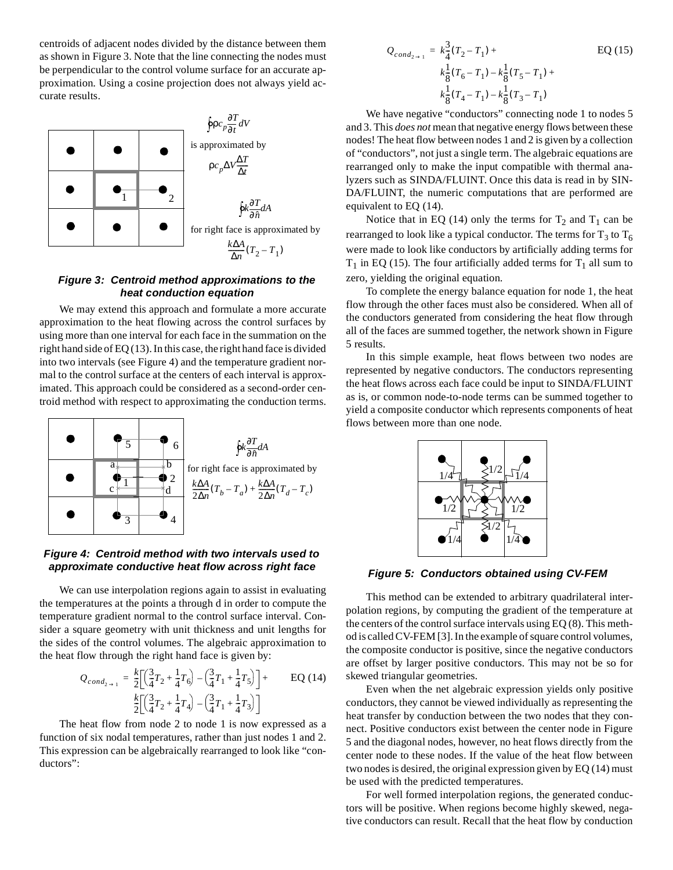centroids of adjacent nodes divided by the distance between them as shown in [Figure 3](#page-3-2). Note that the line connecting the nodes must be perpendicular to the control volume surface for an accurate approximation. Using a cosine projection does not always yield accurate results.



# <span id="page-3-2"></span>**Figure 3: Centroid method approximations to the heat conduction equation**

We may extend this approach and formulate a more accurate approximation to the heat flowing across the control surfaces by using more than one interval for each face in the summation on the right hand side of [EQ \(13\).](#page-2-5) In this case, the right hand face is divided into two intervals (see [Figure 4\)](#page-3-0) and the temperature gradient normal to the control surface at the centers of each interval is approximated. This approach could be considered as a second-order centroid method with respect to approximating the conduction terms.



## <span id="page-3-0"></span>**Figure 4: Centroid method with two intervals used to approximate conductive heat flow across right face**

<span id="page-3-3"></span>We can use interpolation regions again to assist in evaluating the temperatures at the points a through d in order to compute the temperature gradient normal to the control surface interval. Consider a square geometry with unit thickness and unit lengths for the sides of the control volumes. The algebraic approximation to the heat flow through the right hand face is given by:

$$
Q_{cond_{2\to 1}} = \frac{k}{2} \left[ \left( \frac{3}{4} T_2 + \frac{1}{4} T_6 \right) - \left( \frac{3}{4} T_1 + \frac{1}{4} T_5 \right) \right] + \text{EQ (14)}
$$

$$
\frac{k}{2} \left[ \left( \frac{3}{4} T_2 + \frac{1}{4} T_4 \right) - \left( \frac{3}{4} T_1 + \frac{1}{4} T_3 \right) \right]
$$

The heat flow from node 2 to node 1 is now expressed as a function of six nodal temperatures, rather than just nodes 1 and 2. This expression can be algebraically rearranged to look like "conductors":

<span id="page-3-4"></span>
$$
Q_{cond_{2\to 1}} = k_{\frac{1}{4}}^{3} (T_2 - T_1) +
$$
EQ (15)  

$$
k_{\frac{1}{8}}^{1} (T_6 - T_1) - k_{\frac{1}{8}}^{1} (T_5 - T_1) +
$$
  

$$
k_{\frac{1}{8}}^{1} (T_4 - T_1) - k_{\frac{1}{8}}^{1} (T_3 - T_1)
$$

We have negative "conductors" connecting node 1 to nodes 5 and 3. This *does not* mean that negative energy flows between these nodes! The heat flow between nodes 1 and 2 is given by a collection of "conductors", not just a single term. The algebraic equations are rearranged only to make the input compatible with thermal analyzers such as SINDA/FLUINT. Once this data is read in by SIN-DA/FLUINT, the numeric computations that are performed are equivalent to [EQ \(14\)](#page-3-3).

Notice that in [EQ \(14\)](#page-3-3) only the terms for  $T_2$  and  $T_1$  can be rearranged to look like a typical conductor. The terms for  $T_3$  to  $T_6$ were made to look like conductors by artificially adding terms for  $T_1$  in [EQ \(15\)](#page-3-4). The four artificially added terms for  $T_1$  all sum to zero, yielding the original equation.

To complete the energy balance equation for node 1, the heat flow through the other faces must also be considered. When all of the conductors generated from considering the heat flow through all of the faces are summed together, the network shown in [Figure](#page-3-1) [5](#page-3-1) results.

In this simple example, heat flows between two nodes are represented by negative conductors. The conductors representing the heat flows across each face could be input to SINDA/FLUINT as is, or common node-to-node terms can be summed together to yield a composite conductor which represents components of heat flows between more than one node.



<span id="page-3-1"></span>**Figure 5: Conductors obtained using CV-FEM**

This method can be extended to arbitrary quadrilateral interpolation regions, by computing the gradient of the temperature at the centers of the control surface intervals using [EQ \(8\).](#page-2-2) This method is called CV-FEM [\[3\].](#page-8-2) In the example of square control volumes, the composite conductor is positive, since the negative conductors are offset by larger positive conductors. This may not be so for skewed triangular geometries.

Even when the net algebraic expression yields only positive conductors, they cannot be viewed individually as representing the heat transfer by conduction between the two nodes that they connect. Positive conductors exist between the center node in [Figure](#page-3-1) [5](#page-3-1) and the diagonal nodes, however, no heat flows directly from the center node to these nodes. If the value of the heat flow between two nodes is desired, the original expression given by [EQ \(14\)](#page-3-3) must be used with the predicted temperatures.

For well formed interpolation regions, the generated conductors will be positive. When regions become highly skewed, negative conductors can result. Recall that the heat flow by conduction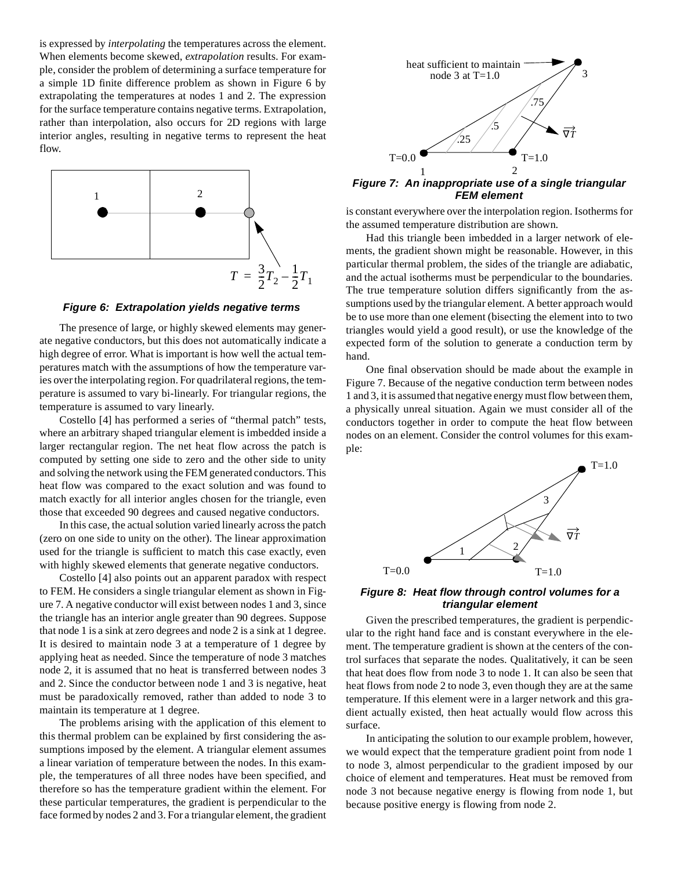is expressed by *interpolating* the temperatures across the element. When elements become skewed, *extrapolation* results. For example, consider the problem of determining a surface temperature for a simple 1D finite difference problem as shown in [Figure 6](#page-4-1) by extrapolating the temperatures at nodes 1 and 2. The expression for the surface temperature contains negative terms. Extrapolation, rather than interpolation, also occurs for 2D regions with large interior angles, resulting in negative terms to represent the heat flow.



**Figure 6: Extrapolation yields negative terms**

<span id="page-4-1"></span>The presence of large, or highly skewed elements may generate negative conductors, but this does not automatically indicate a high degree of error. What is important is how well the actual temperatures match with the assumptions of how the temperature varies over the interpolating region. For quadrilateral regions, the temperature is assumed to vary bi-linearly. For triangular regions, the temperature is assumed to vary linearly.

Costello [\[4\]](#page-8-3) has performed a series of "thermal patch" tests, where an arbitrary shaped triangular element is imbedded inside a larger rectangular region. The net heat flow across the patch is computed by setting one side to zero and the other side to unity and solving the network using the FEM generated conductors. This heat flow was compared to the exact solution and was found to match exactly for all interior angles chosen for the triangle, even those that exceeded 90 degrees and caused negative conductors.

In this case, the actual solution varied linearly across the patch (zero on one side to unity on the other). The linear approximation used for the triangle is sufficient to match this case exactly, even with highly skewed elements that generate negative conductors.

Costello [\[4\]](#page-8-3) also points out an apparent paradox with respect to FEM. He considers a single triangular element as shown in [Fig](#page-4-0)[ure 7.](#page-4-0) A negative conductor will exist between nodes 1 and 3, since the triangle has an interior angle greater than 90 degrees. Suppose that node 1 is a sink at zero degrees and node 2 is a sink at 1 degree. It is desired to maintain node 3 at a temperature of 1 degree by applying heat as needed. Since the temperature of node 3 matches node 2, it is assumed that no heat is transferred between nodes 3 and 2. Since the conductor between node 1 and 3 is negative, heat must be paradoxically removed, rather than added to node 3 to maintain its temperature at 1 degree.

The problems arising with the application of this element to this thermal problem can be explained by first considering the assumptions imposed by the element. A triangular element assumes a linear variation of temperature between the nodes. In this example, the temperatures of all three nodes have been specified, and therefore so has the temperature gradient within the element. For these particular temperatures, the gradient is perpendicular to the face formed by nodes 2 and 3. For a triangular element, the gradient



<span id="page-4-0"></span>**Figure 7: An inappropriate use of a single triangular FEM element**

is constant everywhere over the interpolation region. Isotherms for the assumed temperature distribution are shown.

Had this triangle been imbedded in a larger network of elements, the gradient shown might be reasonable. However, in this particular thermal problem, the sides of the triangle are adiabatic, and the actual isotherms must be perpendicular to the boundaries. The true temperature solution differs significantly from the assumptions used by the triangular element. A better approach would be to use more than one element (bisecting the element into to two triangles would yield a good result), or use the knowledge of the expected form of the solution to generate a conduction term by hand.

One final observation should be made about the example in [Figure 7](#page-4-0). Because of the negative conduction term between nodes 1 and 3, it is assumed that negative energy must flow between them, a physically unreal situation. Again we must consider all of the conductors together in order to compute the heat flow between nodes on an element. Consider the control volumes for this example:



#### **Figure 8: Heat flow through control volumes for a triangular element**

Given the prescribed temperatures, the gradient is perpendicular to the right hand face and is constant everywhere in the element. The temperature gradient is shown at the centers of the control surfaces that separate the nodes. Qualitatively, it can be seen that heat does flow from node 3 to node 1. It can also be seen that heat flows from node 2 to node 3, even though they are at the same temperature. If this element were in a larger network and this gradient actually existed, then heat actually would flow across this surface.

In anticipating the solution to our example problem, however, we would expect that the temperature gradient point from node 1 to node 3, almost perpendicular to the gradient imposed by our choice of element and temperatures. Heat must be removed from node 3 not because negative energy is flowing from node 1, but because positive energy is flowing from node 2.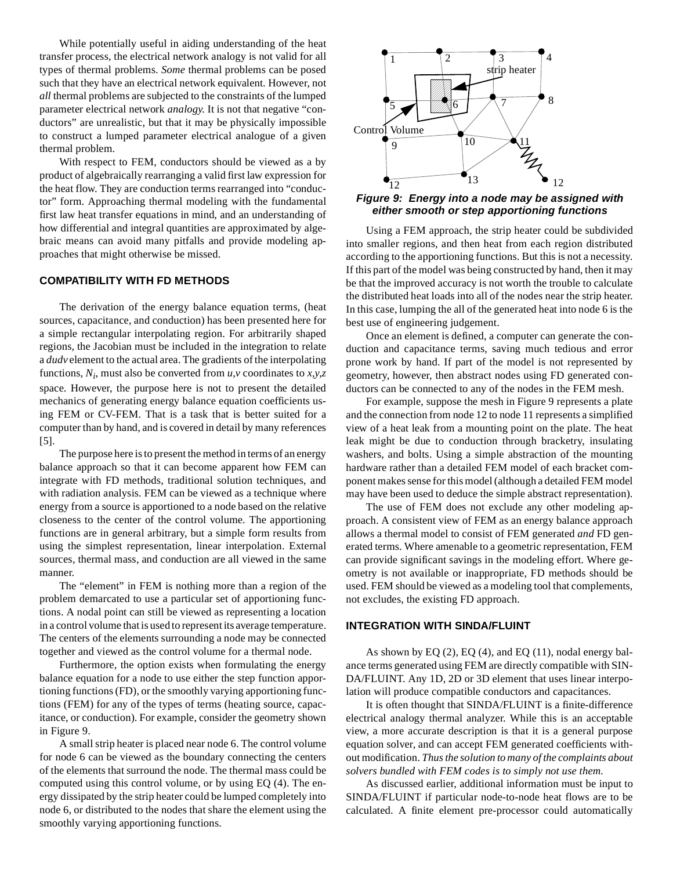While potentially useful in aiding understanding of the heat transfer process, the electrical network analogy is not valid for all types of thermal problems. *Some* thermal problems can be posed such that they have an electrical network equivalent. However, not *all* thermal problems are subjected to the constraints of the lumped parameter electrical network *analogy*. It is not that negative "conductors" are unrealistic, but that it may be physically impossible to construct a lumped parameter electrical analogue of a given thermal problem.

With respect to FEM, conductors should be viewed as a by product of algebraically rearranging a valid first law expression for the heat flow. They are conduction terms rearranged into "conductor" form. Approaching thermal modeling with the fundamental first law heat transfer equations in mind, and an understanding of how differential and integral quantities are approximated by algebraic means can avoid many pitfalls and provide modeling approaches that might otherwise be missed.

### **COMPATIBILITY WITH FD METHODS**

The derivation of the energy balance equation terms, (heat sources, capacitance, and conduction) has been presented here for a simple rectangular interpolating region. For arbitrarily shaped regions, the Jacobian must be included in the integration to relate a *dudv* element to the actual area. The gradients of the interpolating functions,  $N_i$ , must also be converted from  $u, v$  coordinates to  $x, y, z$ space. However, the purpose here is not to present the detailed mechanics of generating energy balance equation coefficients using FEM or CV-FEM. That is a task that is better suited for a computer than by hand, and is covered in detail by many references [\[5\].](#page-8-4)

The purpose here is to present the method in terms of an energy balance approach so that it can become apparent how FEM can integrate with FD methods, traditional solution techniques, and with radiation analysis. FEM can be viewed as a technique where energy from a source is apportioned to a node based on the relative closeness to the center of the control volume. The apportioning functions are in general arbitrary, but a simple form results from using the simplest representation, linear interpolation. External sources, thermal mass, and conduction are all viewed in the same manner.

The "element" in FEM is nothing more than a region of the problem demarcated to use a particular set of apportioning functions. A nodal point can still be viewed as representing a location in a control volume that is used to represent its average temperature. The centers of the elements surrounding a node may be connected together and viewed as the control volume for a thermal node.

Furthermore, the option exists when formulating the energy balance equation for a node to use either the step function apportioning functions (FD), or the smoothly varying apportioning functions (FEM) for any of the types of terms (heating source, capacitance, or conduction). For example, consider the geometry shown in [Figure 9.](#page-5-0)

A small strip heater is placed near node 6. The control volume for node 6 can be viewed as the boundary connecting the centers of the elements that surround the node. The thermal mass could be computed using this control volume, or by using [EQ \(4\).](#page-1-4) The energy dissipated by the strip heater could be lumped completely into node 6, or distributed to the nodes that share the element using the smoothly varying apportioning functions.



<span id="page-5-0"></span>**Figure 9: Energy into a node may be assigned with either smooth or step apportioning functions**

Using a FEM approach, the strip heater could be subdivided into smaller regions, and then heat from each region distributed according to the apportioning functions. But this is not a necessity. If this part of the model was being constructed by hand, then it may be that the improved accuracy is not worth the trouble to calculate the distributed heat loads into all of the nodes near the strip heater. In this case, lumping the all of the generated heat into node 6 is the best use of engineering judgement.

Once an element is defined, a computer can generate the conduction and capacitance terms, saving much tedious and error prone work by hand. If part of the model is not represented by geometry, however, then abstract nodes using FD generated conductors can be connected to any of the nodes in the FEM mesh.

For example, suppose the mesh in [Figure 9](#page-5-0) represents a plate and the connection from node 12 to node 11 represents a simplified view of a heat leak from a mounting point on the plate. The heat leak might be due to conduction through bracketry, insulating washers, and bolts. Using a simple abstraction of the mounting hardware rather than a detailed FEM model of each bracket component makes sense for this model (although a detailed FEM model may have been used to deduce the simple abstract representation).

The use of FEM does not exclude any other modeling approach. A consistent view of FEM as an energy balance approach allows a thermal model to consist of FEM generated *and* FD generated terms. Where amenable to a geometric representation, FEM can provide significant savings in the modeling effort. Where geometry is not available or inappropriate, FD methods should be used. FEM should be viewed as a modeling tool that complements, not excludes, the existing FD approach.

### **INTEGRATION WITH SINDA/FLUINT**

As shown by [EQ \(2\),](#page-1-3) [EQ \(4\)](#page-1-4), and [EQ \(11\)](#page-2-4), nodal energy balance terms generated using FEM are directly compatible with SIN-DA/FLUINT. Any 1D, 2D or 3D element that uses linear interpolation will produce compatible conductors and capacitances.

It is often thought that SINDA/FLUINT is a finite-difference electrical analogy thermal analyzer. While this is an acceptable view, a more accurate description is that it is a general purpose equation solver, and can accept FEM generated coefficients without modification. *Thus the solution to many of the complaints about solvers bundled with FEM codes is to simply not use them.*

As discussed earlier, additional information must be input to SINDA/FLUINT if particular node-to-node heat flows are to be calculated. A finite element pre-processor could automatically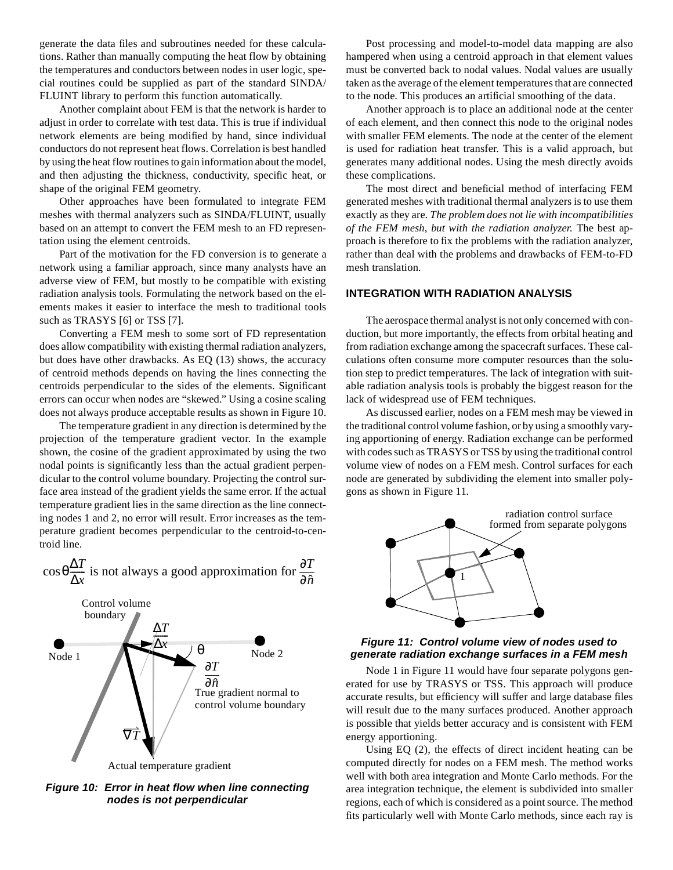generate the data files and subroutines needed for these calculations. Rather than manually computing the heat flow by obtaining the temperatures and conductors between nodes in user logic, special routines could be supplied as part of the standard SINDA/ FLUINT library to perform this function automatically.

Another complaint about FEM is that the network is harder to adjust in order to correlate with test data. This is true if individual network elements are being modified by hand, since individual conductors do not represent heat flows. Correlation is best handled by using the heat flow routines to gain information about the model, and then adjusting the thickness, conductivity, specific heat, or shape of the original FEM geometry.

Other approaches have been formulated to integrate FEM meshes with thermal analyzers such as SINDA/FLUINT, usually based on an attempt to convert the FEM mesh to an FD representation using the element centroids.

Part of the motivation for the FD conversion is to generate a network using a familiar approach, since many analysts have an adverse view of FEM, but mostly to be compatible with existing radiation analysis tools. Formulating the network based on the elements makes it easier to interface the mesh to traditional tools such as TRASYS [\[6\]](#page-8-5) or TSS [\[7\].](#page-9-0)

Converting a FEM mesh to some sort of FD representation does allow compatibility with existing thermal radiation analyzers, but does have other drawbacks. As [EQ \(13\)](#page-2-5) shows, the accuracy of centroid methods depends on having the lines connecting the centroids perpendicular to the sides of the elements. Significant errors can occur when nodes are "skewed." Using a cosine scaling does not always produce acceptable results as shown in [Figure 10](#page-6-1).

The temperature gradient in any direction is determined by the projection of the temperature gradient vector. In the example shown, the cosine of the gradient approximated by using the two nodal points is significantly less than the actual gradient perpendicular to the control volume boundary. Projecting the control surface area instead of the gradient yields the same error. If the actual temperature gradient lies in the same direction as the line connecting nodes 1 and 2, no error will result. Error increases as the temperature gradient becomes perpendicular to the centroid-to-centroid line.



Actual temperature gradient

<span id="page-6-1"></span>**Figure 10: Error in heat flow when line connecting nodes is not perpendicular**

Post processing and model-to-model data mapping are also hampered when using a centroid approach in that element values must be converted back to nodal values. Nodal values are usually taken as the average of the element temperatures that are connected to the node. This produces an artificial smoothing of the data.

Another approach is to place an additional node at the center of each element, and then connect this node to the original nodes with smaller FEM elements. The node at the center of the element is used for radiation heat transfer. This is a valid approach, but generates many additional nodes. Using the mesh directly avoids these complications.

The most direct and beneficial method of interfacing FEM generated meshes with traditional thermal analyzers is to use them exactly as they are. *The problem does not lie with incompatibilities of the FEM mesh, but with the radiation analyzer.* The best approach is therefore to fix the problems with the radiation analyzer, rather than deal with the problems and drawbacks of FEM-to-FD mesh translation.

### **INTEGRATION WITH RADIATION ANALYSIS**

The aerospace thermal analyst is not only concerned with conduction, but more importantly, the effects from orbital heating and from radiation exchange among the spacecraft surfaces. These calculations often consume more computer resources than the solution step to predict temperatures. The lack of integration with suitable radiation analysis tools is probably the biggest reason for the lack of widespread use of FEM techniques.

As discussed earlier, nodes on a FEM mesh may be viewed in the traditional control volume fashion, or by using a smoothly varying apportioning of energy. Radiation exchange can be performed with codes such as TRASYS or TSS by using the traditional control volume view of nodes on a FEM mesh. Control surfaces for each node are generated by subdividing the element into smaller polygons as shown in [Figure 11](#page-6-0).



#### <span id="page-6-0"></span>**Figure 11: Control volume view of nodes used to generate radiation exchange surfaces in a FEM mesh**

Node 1 in [Figure 11](#page-6-0) would have four separate polygons generated for use by TRASYS or TSS. This approach will produce accurate results, but efficiency will suffer and large database files will result due to the many surfaces produced. Another approach is possible that yields better accuracy and is consistent with FEM energy apportioning.

Using [EQ \(2\)](#page-1-3), the effects of direct incident heating can be computed directly for nodes on a FEM mesh. The method works well with both area integration and Monte Carlo methods. For the area integration technique, the element is subdivided into smaller regions, each of which is considered as a point source. The method fits particularly well with Monte Carlo methods, since each ray is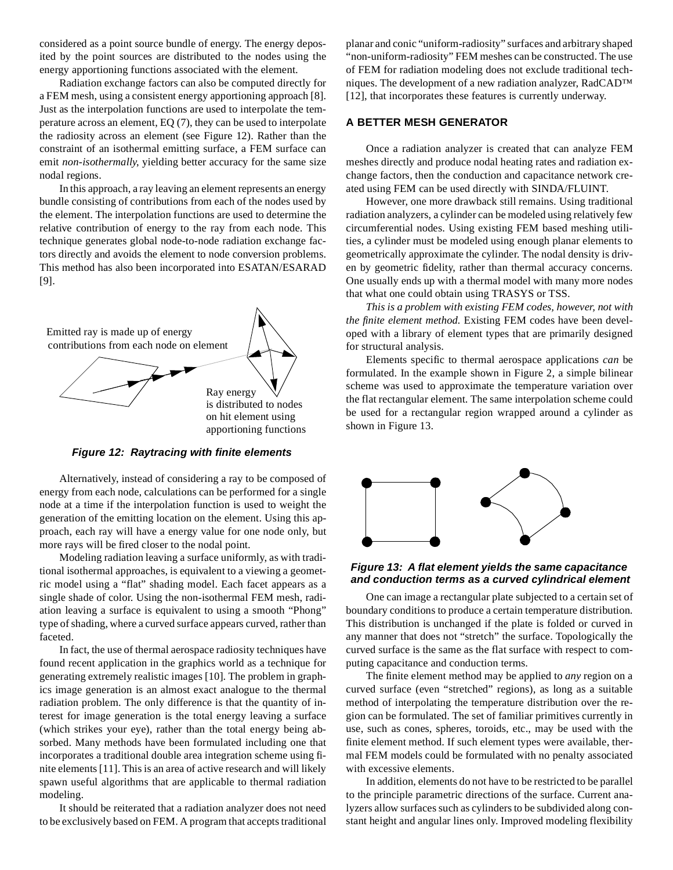considered as a point source bundle of energy. The energy deposited by the point sources are distributed to the nodes using the energy apportioning functions associated with the element.

Radiation exchange factors can also be computed directly for a FEM mesh, using a consistent energy apportioning approach [\[8\]](#page-9-1). Just as the interpolation functions are used to interpolate the temperature across an element, [EQ \(7\),](#page-2-1) they can be used to interpolate the radiosity across an element (see [Figure 12\)](#page-7-0). Rather than the constraint of an isothermal emitting surface, a FEM surface can emit *non-isothermally*, yielding better accuracy for the same size nodal regions.

In this approach, a ray leaving an element represents an energy bundle consisting of contributions from each of the nodes used by the element. The interpolation functions are used to determine the relative contribution of energy to the ray from each node. This technique generates global node-to-node radiation exchange factors directly and avoids the element to node conversion problems. This method has also been incorporated into ESATAN/ESARAD [\[9\].](#page-9-2)



**Figure 12: Raytracing with finite elements**

<span id="page-7-0"></span>Alternatively, instead of considering a ray to be composed of energy from each node, calculations can be performed for a single node at a time if the interpolation function is used to weight the generation of the emitting location on the element. Using this approach, each ray will have a energy value for one node only, but more rays will be fired closer to the nodal point.

Modeling radiation leaving a surface uniformly, as with traditional isothermal approaches, is equivalent to a viewing a geometric model using a "flat" shading model. Each facet appears as a single shade of color. Using the non-isothermal FEM mesh, radiation leaving a surface is equivalent to using a smooth "Phong" type of shading, where a curved surface appears curved, rather than faceted.

In fact, the use of thermal aerospace radiosity techniques have found recent application in the graphics world as a technique for generating extremely realistic images [\[10\]](#page-9-3). The problem in graphics image generation is an almost exact analogue to the thermal radiation problem. The only difference is that the quantity of interest for image generation is the total energy leaving a surface (which strikes your eye), rather than the total energy being absorbed. Many methods have been formulated including one that incorporates a traditional double area integration scheme using finite elements [\[11\]](#page-9-4). This is an area of active research and will likely spawn useful algorithms that are applicable to thermal radiation modeling.

It should be reiterated that a radiation analyzer does not need to be exclusively based on FEM. A program that accepts traditional

planar and conic "uniform-radiosity" surfaces and arbitrary shaped "non-uniform-radiosity" FEM meshes can be constructed. The use of FEM for radiation modeling does not exclude traditional techniques. The development of a new radiation analyzer, RadCAD™ [\[12\],](#page-9-5) that incorporates these features is currently underway.

# **A BETTER MESH GENERATOR**

Once a radiation analyzer is created that can analyze FEM meshes directly and produce nodal heating rates and radiation exchange factors, then the conduction and capacitance network created using FEM can be used directly with SINDA/FLUINT.

However, one more drawback still remains. Using traditional radiation analyzers, a cylinder can be modeled using relatively few circumferential nodes. Using existing FEM based meshing utilities, a cylinder must be modeled using enough planar elements to geometrically approximate the cylinder. The nodal density is driven by geometric fidelity, rather than thermal accuracy concerns. One usually ends up with a thermal model with many more nodes that what one could obtain using TRASYS or TSS.

*This is a problem with existing FEM codes, however, not with the finite element method.* Existing FEM codes have been developed with a library of element types that are primarily designed for structural analysis.

Elements specific to thermal aerospace applications *can* be formulated. In the example shown in [Figure 2](#page-1-1), a simple bilinear scheme was used to approximate the temperature variation over the flat rectangular element. The same interpolation scheme could be used for a rectangular region wrapped around a cylinder as shown in [Figure 13](#page-7-1).



### <span id="page-7-1"></span>**Figure 13: A flat element yields the same capacitance and conduction terms as a curved cylindrical element**

One can image a rectangular plate subjected to a certain set of boundary conditions to produce a certain temperature distribution. This distribution is unchanged if the plate is folded or curved in any manner that does not "stretch" the surface. Topologically the curved surface is the same as the flat surface with respect to computing capacitance and conduction terms.

The finite element method may be applied to *any* region on a curved surface (even "stretched" regions), as long as a suitable method of interpolating the temperature distribution over the region can be formulated. The set of familiar primitives currently in use, such as cones, spheres, toroids, etc., may be used with the finite element method. If such element types were available, thermal FEM models could be formulated with no penalty associated with excessive elements.

In addition, elements do not have to be restricted to be parallel to the principle parametric directions of the surface. Current analyzers allow surfaces such as cylinders to be subdivided along constant height and angular lines only. Improved modeling flexibility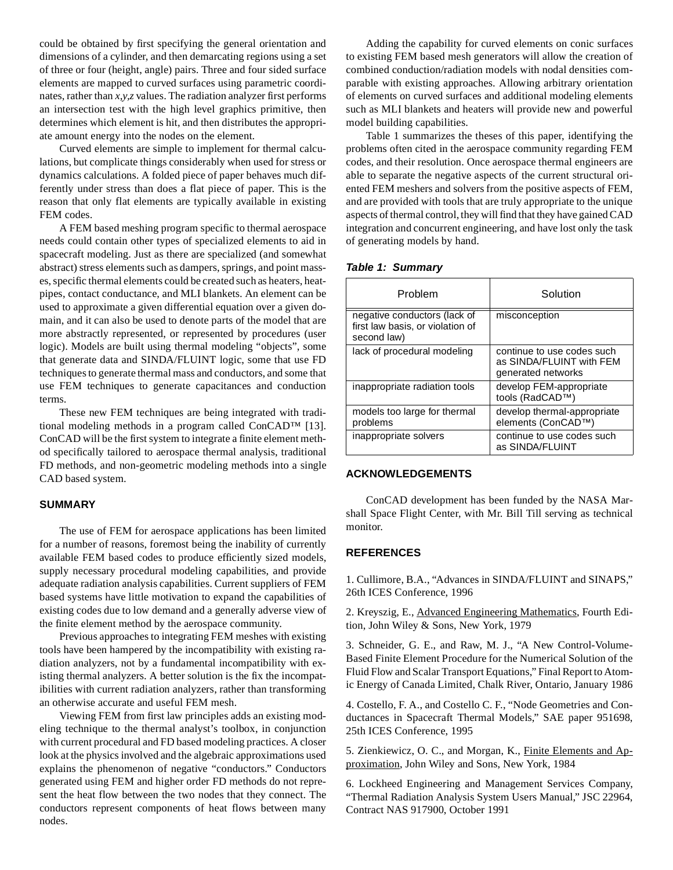could be obtained by first specifying the general orientation and dimensions of a cylinder, and then demarcating regions using a set of three or four (height, angle) pairs. Three and four sided surface elements are mapped to curved surfaces using parametric coordinates, rather than *x,y,z* values. The radiation analyzer first performs an intersection test with the high level graphics primitive, then determines which element is hit, and then distributes the appropriate amount energy into the nodes on the element.

Curved elements are simple to implement for thermal calculations, but complicate things considerably when used for stress or dynamics calculations. A folded piece of paper behaves much differently under stress than does a flat piece of paper. This is the reason that only flat elements are typically available in existing FEM codes.

A FEM based meshing program specific to thermal aerospace needs could contain other types of specialized elements to aid in spacecraft modeling. Just as there are specialized (and somewhat abstract) stress elements such as dampers, springs, and point masses, specific thermal elements could be created such as heaters, heatpipes, contact conductance, and MLI blankets. An element can be used to approximate a given differential equation over a given domain, and it can also be used to denote parts of the model that are more abstractly represented, or represented by procedures (user logic). Models are built using thermal modeling "objects", some that generate data and SINDA/FLUINT logic, some that use FD techniques to generate thermal mass and conductors, and some that use FEM techniques to generate capacitances and conduction terms.

These new FEM techniques are being integrated with traditional modeling methods in a program called ConCAD™ [\[13\]](#page-9-6). ConCAD will be the first system to integrate a finite element method specifically tailored to aerospace thermal analysis, traditional FD methods, and non-geometric modeling methods into a single CAD based system.

### **SUMMARY**

The use of FEM for aerospace applications has been limited for a number of reasons, foremost being the inability of currently available FEM based codes to produce efficiently sized models, supply necessary procedural modeling capabilities, and provide adequate radiation analysis capabilities. Current suppliers of FEM based systems have little motivation to expand the capabilities of existing codes due to low demand and a generally adverse view of the finite element method by the aerospace community.

Previous approaches to integrating FEM meshes with existing tools have been hampered by the incompatibility with existing radiation analyzers, not by a fundamental incompatibility with existing thermal analyzers. A better solution is the fix the incompatibilities with current radiation analyzers, rather than transforming an otherwise accurate and useful FEM mesh.

Viewing FEM from first law principles adds an existing modeling technique to the thermal analyst's toolbox, in conjunction with current procedural and FD based modeling practices. A closer look at the physics involved and the algebraic approximations used explains the phenomenon of negative "conductors." Conductors generated using FEM and higher order FD methods do not represent the heat flow between the two nodes that they connect. The conductors represent components of heat flows between many nodes.

Adding the capability for curved elements on conic surfaces to existing FEM based mesh generators will allow the creation of combined conduction/radiation models with nodal densities comparable with existing approaches. Allowing arbitrary orientation of elements on curved surfaces and additional modeling elements such as MLI blankets and heaters will provide new and powerful model building capabilities.

Table 1 summarizes the theses of this paper, identifying the problems often cited in the aerospace community regarding FEM codes, and their resolution. Once aerospace thermal engineers are able to separate the negative aspects of the current structural oriented FEM meshers and solvers from the positive aspects of FEM, and are provided with tools that are truly appropriate to the unique aspects of thermal control, they will find that they have gained CAD integration and concurrent engineering, and have lost only the task of generating models by hand.

| Table 1: Summary |  |  |  |  |
|------------------|--|--|--|--|
|------------------|--|--|--|--|

| Problem                                                                         | Solution                                                                     |  |
|---------------------------------------------------------------------------------|------------------------------------------------------------------------------|--|
| negative conductors (lack of<br>first law basis, or violation of<br>second law) | misconception                                                                |  |
| lack of procedural modeling                                                     | continue to use codes such<br>as SINDA/FLUINT with FEM<br>generated networks |  |
| inappropriate radiation tools                                                   | develop FEM-appropriate<br>tools (RadCAD™)                                   |  |
| models too large for thermal<br>problems                                        | develop thermal-appropriate<br>elements (ConCAD™)                            |  |
| inappropriate solvers                                                           | continue to use codes such<br>as SINDA/FLUINT                                |  |

### **ACKNOWLEDGEMENTS**

ConCAD development has been funded by the NASA Marshall Space Flight Center, with Mr. Bill Till serving as technical monitor.

# **REFERENCES**

<span id="page-8-1"></span>1. Cullimore, B.A., "Advances in SINDA/FLUINT and SINAPS," 26th ICES Conference, 1996

<span id="page-8-0"></span>2. Kreyszig, E., Advanced Engineering Mathematics, Fourth Edition, John Wiley & Sons, New York, 1979

<span id="page-8-2"></span>3. Schneider, G. E., and Raw, M. J., "A New Control-Volume-Based Finite Element Procedure for the Numerical Solution of the Fluid Flow and Scalar Transport Equations," Final Report to Atomic Energy of Canada Limited, Chalk River, Ontario, January 1986

<span id="page-8-3"></span>4. Costello, F. A., and Costello C. F., "Node Geometries and Conductances in Spacecraft Thermal Models," SAE paper 951698, 25th ICES Conference, 1995

<span id="page-8-4"></span>5. Zienkiewicz, O. C., and Morgan, K., Finite Elements and Approximation, John Wiley and Sons, New York, 1984

<span id="page-8-5"></span>6. Lockheed Engineering and Management Services Company, "Thermal Radiation Analysis System Users Manual," JSC 22964, Contract NAS 917900, October 1991